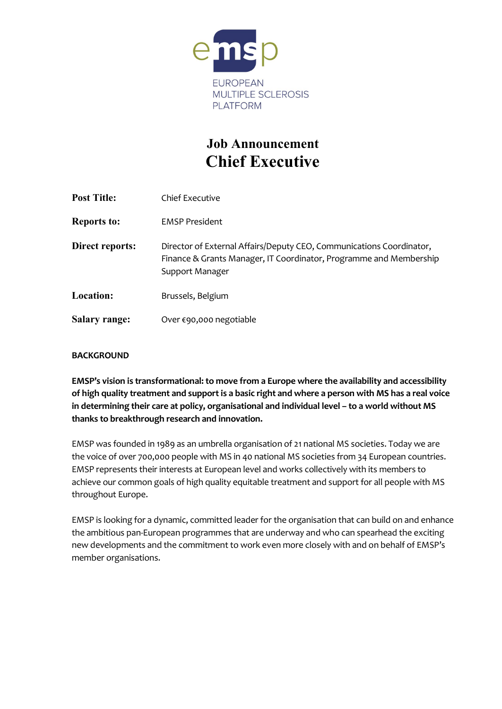

# Job Announcement Chief Executive

| <b>Post Title:</b>   | Chief Executive                                                                                                                                               |
|----------------------|---------------------------------------------------------------------------------------------------------------------------------------------------------------|
| <b>Reports to:</b>   | <b>EMSP President</b>                                                                                                                                         |
| Direct reports:      | Director of External Affairs/Deputy CEO, Communications Coordinator,<br>Finance & Grants Manager, IT Coordinator, Programme and Membership<br>Support Manager |
| <b>Location:</b>     | Brussels, Belgium                                                                                                                                             |
| <b>Salary range:</b> | Over €90,000 negotiable                                                                                                                                       |

# **BACKGROUND**

EMSP's vision is transformational: to move from a Europe where the availability and accessibility of high quality treatment and support is a basic right and where a person with MS has a real voice in determining their care at policy, organisational and individual level – to a world without MS thanks to breakthrough research and innovation.

EMSP was founded in 1989 as an umbrella organisation of 21 national MS societies. Today we are the voice of over 700,000 people with MS in 40 national MS societies from 34 European countries. EMSP represents their interests at European level and works collectively with its members to achieve our common goals of high quality equitable treatment and support for all people with MS throughout Europe.

EMSP is looking for a dynamic, committed leader for the organisation that can build on and enhance the ambitious pan-European programmes that are underway and who can spearhead the exciting new developments and the commitment to work even more closely with and on behalf of EMSP's member organisations.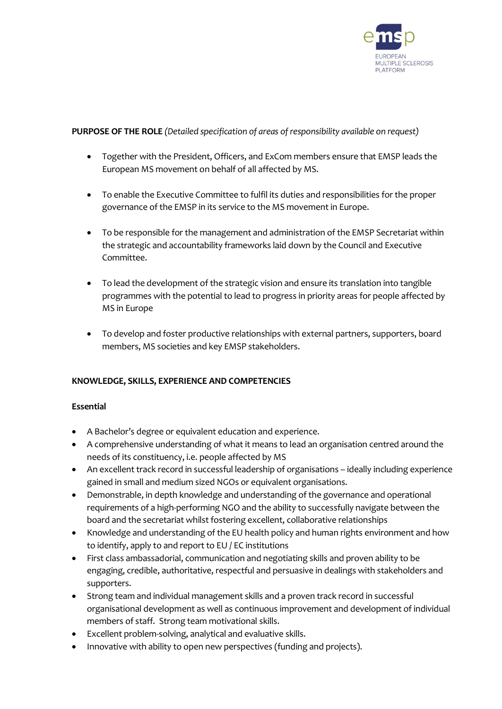

### PURPOSE OF THE ROLE *(Detailed specification of areas of responsibility available on request)*

- Together with the President, Officers, and ExCom members ensure that EMSP leads the European MS movement on behalf of all affected by MS.
- To enable the Executive Committee to fulfil its duties and responsibilities for the proper governance of the EMSP in its service to the MS movement in Europe.
- To be responsible for the management and administration of the EMSP Secretariat within the strategic and accountability frameworks laid down by the Council and Executive Committee.
- To lead the development of the strategic vision and ensure its translation into tangible programmes with the potential to lead to progress in priority areas for people affected by MS in Europe
- To develop and foster productive relationships with external partners, supporters, board members, MS societies and key EMSP stakeholders.

# KNOWLEDGE, SKILLS, EXPERIENCE AND COMPETENCIES

#### Essential

- A Bachelor's degree or equivalent education and experience.
- A comprehensive understanding of what it means to lead an organisation centred around the needs of its constituency, i.e. people affected by MS
- An excellent track record in successful leadership of organisations ideally including experience gained in small and medium sized NGOs or equivalent organisations.
- Demonstrable, in depth knowledge and understanding of the governance and operational requirements of a high-performing NGO and the ability to successfully navigate between the board and the secretariat whilst fostering excellent, collaborative relationships
- Knowledge and understanding of the EU health policy and human rights environment and how to identify, apply to and report to EU / EC institutions
- First class ambassadorial, communication and negotiating skills and proven ability to be engaging, credible, authoritative, respectful and persuasive in dealings with stakeholders and supporters.
- Strong team and individual management skills and a proven track record in successful organisational development as well as continuous improvement and development of individual members of staff. Strong team motivational skills.
- Excellent problem-solving, analytical and evaluative skills.
- Innovative with ability to open new perspectives (funding and projects).